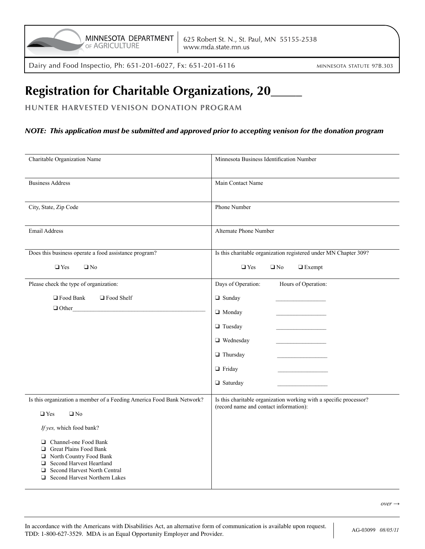Dairy and Food Inspectio, Ph: 651-201-6027, Fx: 651-201-6116

# **Registration for Charitable Organizations, 20\_\_\_\_\_**

**HUNTER HARVESTED VENISON DONATION PROGRAM**

### *NOTE: This application must be submitted and approved prior to accepting venison for the donation program*

| Charitable Organization Name                                                                                                                                                               | Minnesota Business Identification Number                                                                     |  |
|--------------------------------------------------------------------------------------------------------------------------------------------------------------------------------------------|--------------------------------------------------------------------------------------------------------------|--|
| <b>Business Address</b>                                                                                                                                                                    | Main Contact Name                                                                                            |  |
| City, State, Zip Code                                                                                                                                                                      | Phone Number                                                                                                 |  |
| Email Address                                                                                                                                                                              | Alternate Phone Number                                                                                       |  |
| Does this business operate a food assistance program?                                                                                                                                      | Is this charitable organization registered under MN Chapter 309?                                             |  |
| $\Box$ Yes<br>$\Box$ No                                                                                                                                                                    | $\Box$ Yes<br>$\Box$ Exempt<br>$\Box$ No                                                                     |  |
| Please check the type of organization:                                                                                                                                                     | Days of Operation:<br>Hours of Operation:                                                                    |  |
| □ Food Bank<br>□ Food Shelf                                                                                                                                                                | $\Box$ Sunday                                                                                                |  |
| $\Box$ Other                                                                                                                                                                               | $\Box$ Monday                                                                                                |  |
|                                                                                                                                                                                            | $\Box$ Tuesday                                                                                               |  |
|                                                                                                                                                                                            | $\Box$ Wednesday                                                                                             |  |
|                                                                                                                                                                                            | $\Box$ Thursday                                                                                              |  |
|                                                                                                                                                                                            | $\Box$ Friday                                                                                                |  |
|                                                                                                                                                                                            | $\Box$ Saturday                                                                                              |  |
| Is this organization a member of a Feeding America Food Bank Network?                                                                                                                      | Is this charitable organization working with a specific processor?<br>(record name and contact information): |  |
| $\Box$ Yes<br>$\Box$ No                                                                                                                                                                    |                                                                                                              |  |
| If yes, which food bank?                                                                                                                                                                   |                                                                                                              |  |
| □ Channel-one Food Bank<br>Great Plains Food Bank<br>North Country Food Bank<br>Second Harvest Heartland<br><b>Second Harvest North Central</b><br>$\Box$<br>Second Harvest Northern Lakes |                                                                                                              |  |